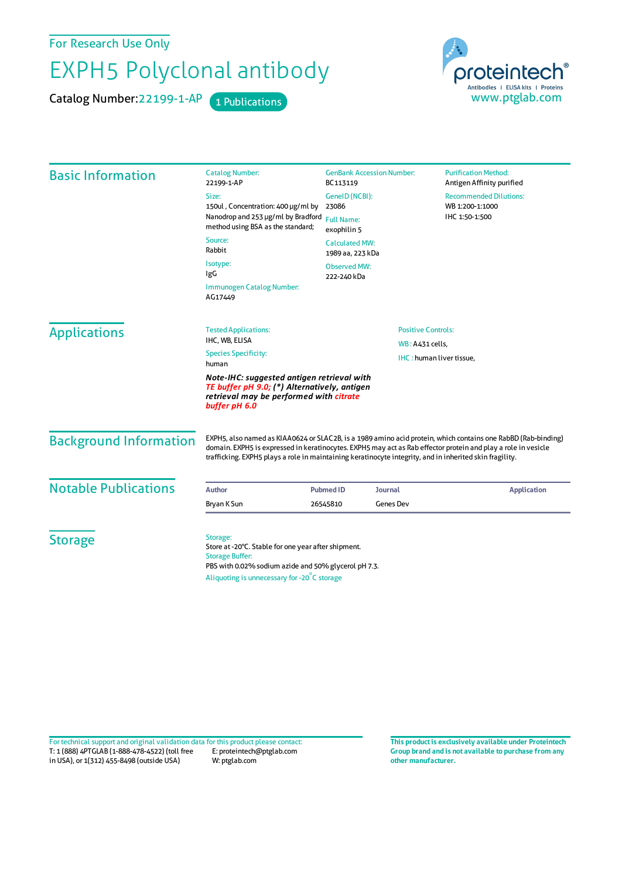For Research Use Only

## EXPH5 Polyclonal antibody

Catalog Number: 22199-1-AP 1 Publications



| <b>Basic Information</b>      | <b>Catalog Number:</b><br>22199-1-AP                                                                                                                                                                                                                                                                                                      | <b>GenBank Accession Number:</b><br>BC113119                                                             |  | <b>Purification Method:</b><br>Antigen Affinity purified           |
|-------------------------------|-------------------------------------------------------------------------------------------------------------------------------------------------------------------------------------------------------------------------------------------------------------------------------------------------------------------------------------------|----------------------------------------------------------------------------------------------------------|--|--------------------------------------------------------------------|
|                               | Size:<br>150ul, Concentration: 400 µg/ml by                                                                                                                                                                                                                                                                                               | GenelD (NCBI):<br>23086<br><b>Full Name:</b><br>exophilin 5<br><b>Calculated MW:</b><br>1989 aa, 223 kDa |  | <b>Recommended Dilutions:</b><br>WB 1:200-1:1000<br>IHC 1:50-1:500 |
|                               | Nanodrop and 253 µg/ml by Bradford<br>method using BSA as the standard;                                                                                                                                                                                                                                                                   |                                                                                                          |  |                                                                    |
|                               | Source:<br>Rabbit                                                                                                                                                                                                                                                                                                                         |                                                                                                          |  |                                                                    |
|                               | Isotype:<br>IgG                                                                                                                                                                                                                                                                                                                           | <b>Observed MW:</b><br>222-240 kDa                                                                       |  |                                                                    |
|                               | Immunogen Catalog Number:<br>AG17449                                                                                                                                                                                                                                                                                                      |                                                                                                          |  |                                                                    |
| <b>Applications</b>           | <b>Tested Applications:</b><br>IHC, WB, ELISA                                                                                                                                                                                                                                                                                             | <b>Positive Controls:</b>                                                                                |  |                                                                    |
|                               | WB: A431 cells,<br><b>Species Specificity:</b><br>IHC: human liver tissue,<br>human                                                                                                                                                                                                                                                       |                                                                                                          |  |                                                                    |
|                               | Note-IHC: suggested antigen retrieval with<br>TE buffer pH 9.0; (*) Alternatively, antigen<br>retrieval may be performed with citrate<br>buffer pH 6.0                                                                                                                                                                                    |                                                                                                          |  |                                                                    |
| <b>Background Information</b> | EXPH5, also named as KIAA0624 or SLAC2B, is a 1989 amino acid protein, which contains one RabBD (Rab-binding)<br>domain. EXPH5 is expressed in keratinocytes. EXPH5 may act as Rab effector protein and play a role in vesicle<br>trafficking. EXPH5 plays a role in maintaining keratinocyte integrity, and in inherited skin fragility. |                                                                                                          |  |                                                                    |
| <b>Notable Publications</b>   | <b>Author</b>                                                                                                                                                                                                                                                                                                                             | <b>Pubmed ID</b><br><b>Journal</b>                                                                       |  | <b>Application</b>                                                 |
|                               | Bryan K Sun                                                                                                                                                                                                                                                                                                                               | <b>Genes Dev</b><br>26545810                                                                             |  |                                                                    |
| <b>Storage</b>                | Storage:                                                                                                                                                                                                                                                                                                                                  |                                                                                                          |  |                                                                    |
|                               | Store at -20°C. Stable for one year after shipment.<br><b>Storage Buffer:</b><br>PBS with 0.02% sodium azide and 50% glycerol pH 7.3.                                                                                                                                                                                                     |                                                                                                          |  |                                                                    |
|                               | Aliquoting is unnecessary for -20°C storage                                                                                                                                                                                                                                                                                               |                                                                                                          |  |                                                                    |

T: 1 (888) 4PTGLAB (1-888-478-4522) (toll free in USA), or 1(312) 455-8498 (outside USA) E: proteintech@ptglab.com W: ptglab.com Fortechnical support and original validation data forthis product please contact: **This productis exclusively available under Proteintech**

**Group brand and is not available to purchase from any other manufacturer.**